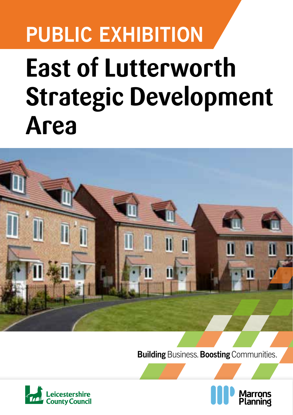## **PUBLIC EXHIBITION East of Lutterworth Strategic Development**

# **Area**T

**Building** Business. **Boosting** Communities.